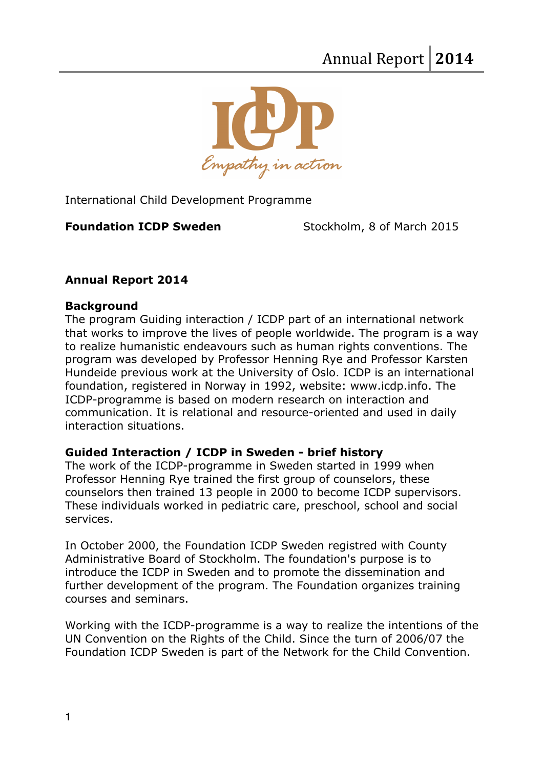

International Child Development Programme

**Foundation ICDP Sweden** Stockholm, 8 of March 2015

# **Annual Report 2014**

#### **Background**

The program Guiding interaction / ICDP part of an international network that works to improve the lives of people worldwide. The program is a way to realize humanistic endeavours such as human rights conventions. The program was developed by Professor Henning Rye and Professor Karsten Hundeide previous work at the University of Oslo. ICDP is an international foundation, registered in Norway in 1992, website: www.icdp.info. The ICDP-programme is based on modern research on interaction and communication. It is relational and resource-oriented and used in daily interaction situations.

## **Guided Interaction / ICDP in Sweden - brief history**

The work of the ICDP-programme in Sweden started in 1999 when Professor Henning Rye trained the first group of counselors, these counselors then trained 13 people in 2000 to become ICDP supervisors. These individuals worked in pediatric care, preschool, school and social services.

In October 2000, the Foundation ICDP Sweden registred with County Administrative Board of Stockholm. The foundation's purpose is to introduce the ICDP in Sweden and to promote the dissemination and further development of the program. The Foundation organizes training courses and seminars.

Working with the ICDP-programme is a way to realize the intentions of the UN Convention on the Rights of the Child. Since the turn of 2006/07 the Foundation ICDP Sweden is part of the Network for the Child Convention.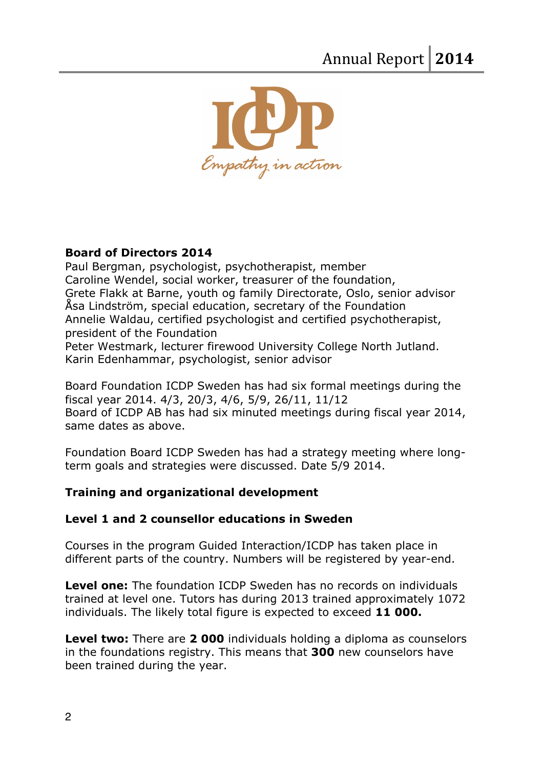# Annual Report **2014**



#### **Board of Directors 2014**

Paul Bergman, psychologist, psychotherapist, member Caroline Wendel, social worker, treasurer of the foundation, Grete Flakk at Barne, youth og family Directorate, Oslo, senior advisor Åsa Lindström, special education, secretary of the Foundation Annelie Waldau, certified psychologist and certified psychotherapist, president of the Foundation

Peter Westmark, lecturer firewood University College North Jutland. Karin Edenhammar, psychologist, senior advisor

Board Foundation ICDP Sweden has had six formal meetings during the fiscal year 2014. 4/3, 20/3, 4/6, 5/9, 26/11, 11/12 Board of ICDP AB has had six minuted meetings during fiscal year 2014, same dates as above.

Foundation Board ICDP Sweden has had a strategy meeting where longterm goals and strategies were discussed. Date 5/9 2014.

## **Training and organizational development**

#### **Level 1 and 2 counsellor educations in Sweden**

Courses in the program Guided Interaction/ICDP has taken place in different parts of the country. Numbers will be registered by year-end.

**Level one:** The foundation ICDP Sweden has no records on individuals trained at level one. Tutors has during 2013 trained approximately 1072 individuals. The likely total figure is expected to exceed **11 000.**

**Level two:** There are **2 000** individuals holding a diploma as counselors in the foundations registry. This means that **300** new counselors have been trained during the year.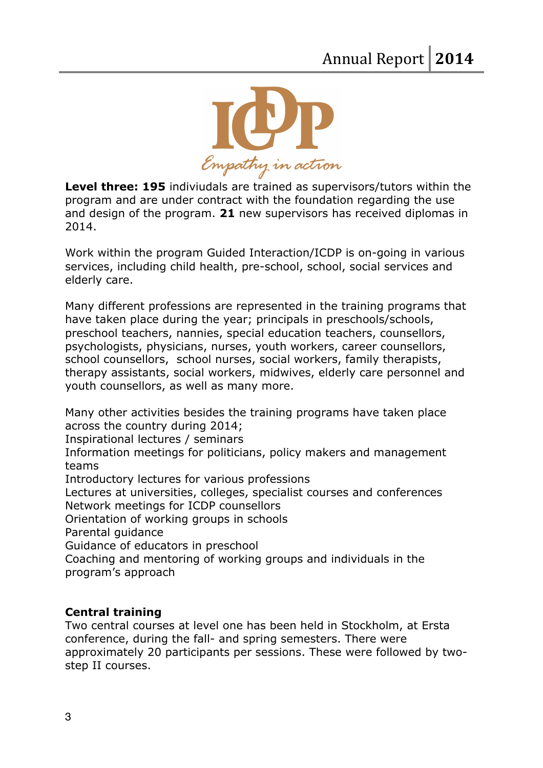

**Level three: 195** indiviudals are trained as supervisors/tutors within the program and are under contract with the foundation regarding the use and design of the program. **21** new supervisors has received diplomas in 2014.

Work within the program Guided Interaction/ICDP is on-going in various services, including child health, pre-school, school, social services and elderly care.

Many different professions are represented in the training programs that have taken place during the year; principals in preschools/schools, preschool teachers, nannies, special education teachers, counsellors, psychologists, physicians, nurses, youth workers, career counsellors, school counsellors, school nurses, social workers, family therapists, therapy assistants, social workers, midwives, elderly care personnel and youth counsellors, as well as many more.

Many other activities besides the training programs have taken place across the country during 2014; Inspirational lectures / seminars Information meetings for politicians, policy makers and management teams Introductory lectures for various professions Lectures at universities, colleges, specialist courses and conferences Network meetings for ICDP counsellors Orientation of working groups in schools Parental guidance Guidance of educators in preschool Coaching and mentoring of working groups and individuals in the program's approach

#### **Central training**

Two central courses at level one has been held in Stockholm, at Ersta conference, during the fall- and spring semesters. There were approximately 20 participants per sessions. These were followed by twostep II courses.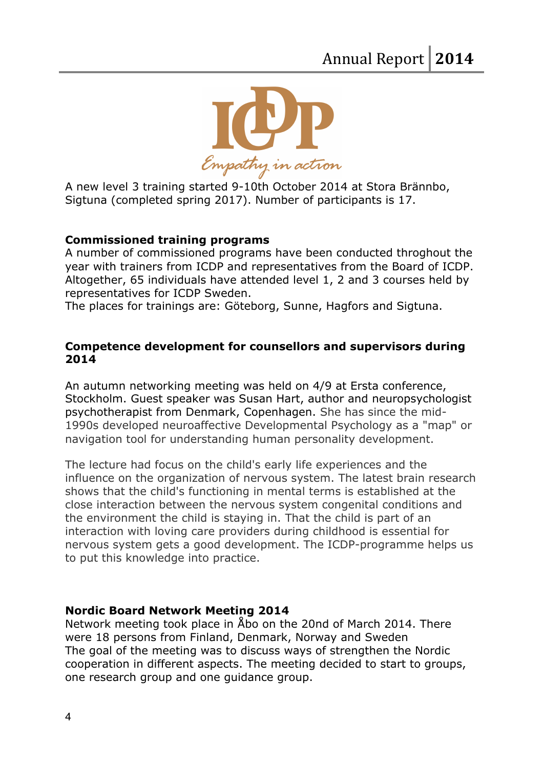

A new level 3 training started 9-10th October 2014 at Stora Brännbo, Sigtuna (completed spring 2017). Number of participants is 17.

#### **Commissioned training programs**

A number of commissioned programs have been conducted throghout the year with trainers from ICDP and representatives from the Board of ICDP. Altogether, 65 individuals have attended level 1, 2 and 3 courses held by representatives for ICDP Sweden.

The places for trainings are: Göteborg, Sunne, Hagfors and Sigtuna.

#### **Competence development for counsellors and supervisors during 2014**

An autumn networking meeting was held on 4/9 at Ersta conference, Stockholm. Guest speaker was Susan Hart, author and neuropsychologist psychotherapist from Denmark, Copenhagen. She has since the mid-1990s developed neuroaffective Developmental Psychology as a "map" or navigation tool for understanding human personality development.

The lecture had focus on the child's early life experiences and the influence on the organization of nervous system. The latest brain research shows that the child's functioning in mental terms is established at the close interaction between the nervous system congenital conditions and the environment the child is staying in. That the child is part of an interaction with loving care providers during childhood is essential for nervous system gets a good development. The ICDP-programme helps us to put this knowledge into practice.

#### **Nordic Board Network Meeting 2014**

Network meeting took place in Åbo on the 20nd of March 2014. There were 18 persons from Finland, Denmark, Norway and Sweden The goal of the meeting was to discuss ways of strengthen the Nordic cooperation in different aspects. The meeting decided to start to groups, one research group and one guidance group.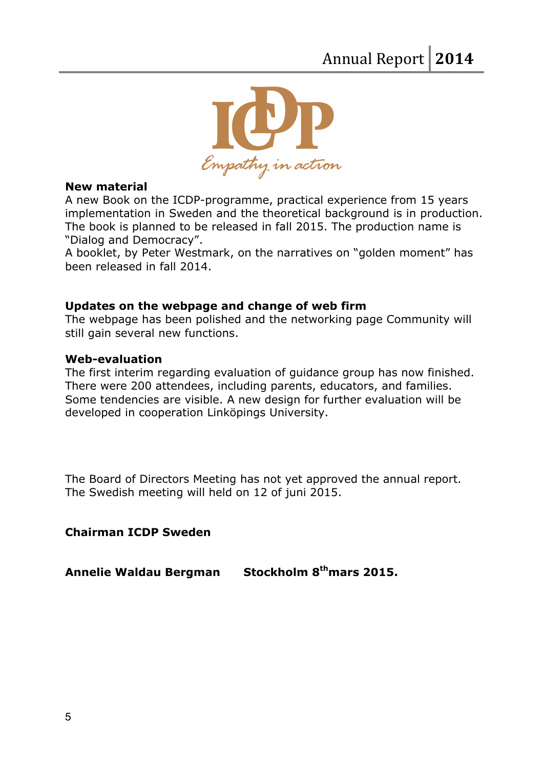

#### **New material**

A new Book on the ICDP-programme, practical experience from 15 years implementation in Sweden and the theoretical background is in production. The book is planned to be released in fall 2015. The production name is "Dialog and Democracy".

A booklet, by Peter Westmark, on the narratives on "golden moment" has been released in fall 2014.

#### **Updates on the webpage and change of web firm**

The webpage has been polished and the networking page Community will still gain several new functions.

#### **Web-evaluation**

The first interim regarding evaluation of guidance group has now finished. There were 200 attendees, including parents, educators, and families. Some tendencies are visible. A new design for further evaluation will be developed in cooperation Linköpings University.

The Board of Directors Meeting has not yet approved the annual report. The Swedish meeting will held on 12 of juni 2015.

#### **Chairman ICDP Sweden**

**Annelie Waldau Bergman Stockholm 8thmars 2015.**